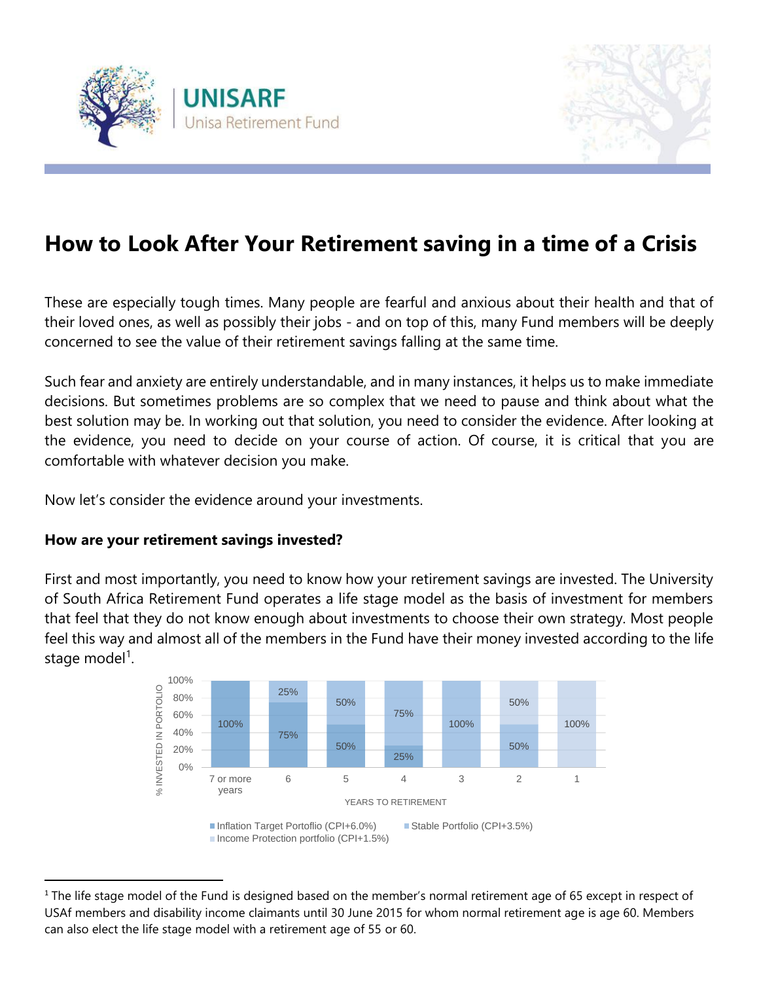



# **How to Look After Your Retirement saving in a time of a Crisis**

These are especially tough times. Many people are fearful and anxious about their health and that of their loved ones, as well as possibly their jobs - and on top of this, many Fund members will be deeply concerned to see the value of their retirement savings falling at the same time.

Such fear and anxiety are entirely understandable, and in many instances, it helps us to make immediate decisions. But sometimes problems are so complex that we need to pause and think about what the best solution may be. In working out that solution, you need to consider the evidence. After looking at the evidence, you need to decide on your course of action. Of course, it is critical that you are comfortable with whatever decision you make.

Now let's consider the evidence around your investments.

## **How are your retirement savings invested?**

 $\overline{\phantom{a}}$ 

First and most importantly, you need to know how your retirement savings are invested. The University of South Africa Retirement Fund operates a life stage model as the basis of investment for members that feel that they do not know enough about investments to choose their own strategy. Most people feel this way and almost all of the members in the Fund have their money invested according to the life stage model<sup>1</sup>.



<sup>1</sup> The life stage model of the Fund is designed based on the member's normal retirement age of 65 except in respect of USAf members and disability income claimants until 30 June 2015 for whom normal retirement age is age 60. Members can also elect the life stage model with a retirement age of 55 or 60.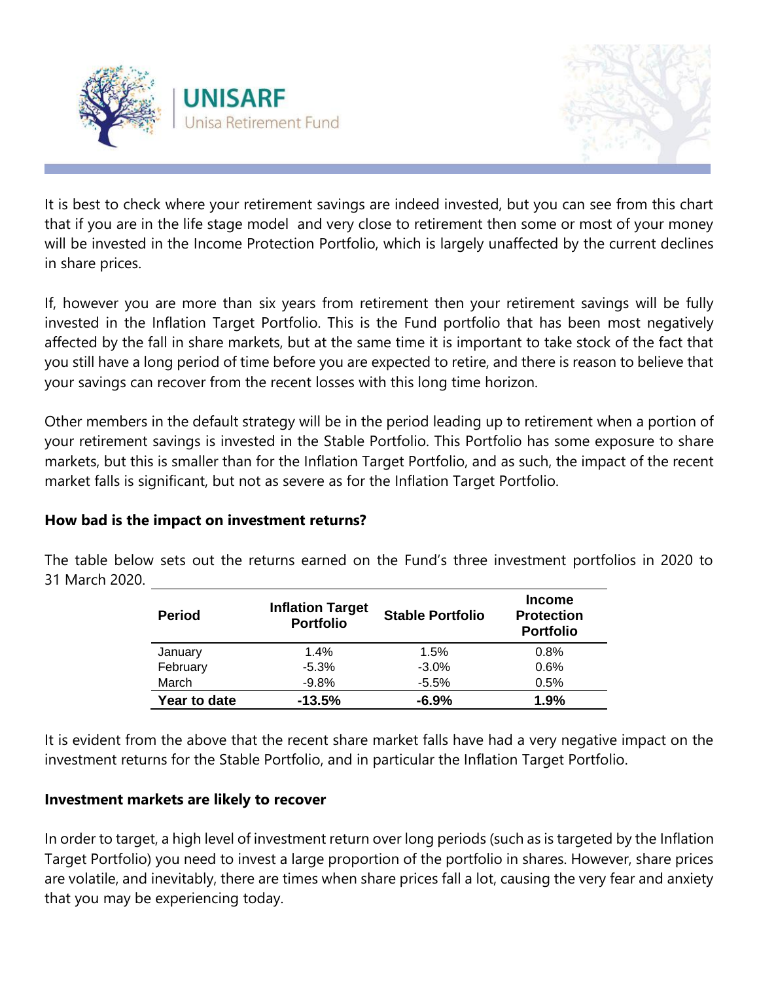



It is best to check where your retirement savings are indeed invested, but you can see from this chart that if you are in the life stage model and very close to retirement then some or most of your money will be invested in the Income Protection Portfolio, which is largely unaffected by the current declines in share prices.

If, however you are more than six years from retirement then your retirement savings will be fully invested in the Inflation Target Portfolio. This is the Fund portfolio that has been most negatively affected by the fall in share markets, but at the same time it is important to take stock of the fact that you still have a long period of time before you are expected to retire, and there is reason to believe that your savings can recover from the recent losses with this long time horizon.

Other members in the default strategy will be in the period leading up to retirement when a portion of your retirement savings is invested in the Stable Portfolio. This Portfolio has some exposure to share markets, but this is smaller than for the Inflation Target Portfolio, and as such, the impact of the recent market falls is significant, but not as severe as for the Inflation Target Portfolio.

## **How bad is the impact on investment returns?**

The table below sets out the returns earned on the Fund's three investment portfolios in 2020 to 31 March 2020.

| <b>Period</b> | <b>Inflation Target</b><br><b>Portfolio</b> | <b>Stable Portfolio</b> | <b>Income</b><br><b>Protection</b><br><b>Portfolio</b> |  |
|---------------|---------------------------------------------|-------------------------|--------------------------------------------------------|--|
| January       | 1.4%                                        | 1.5%                    | 0.8%                                                   |  |
| February      | $-5.3%$                                     | $-3.0\%$                | 0.6%                                                   |  |
| March         | $-9.8%$                                     | $-5.5%$                 | 0.5%                                                   |  |
| Year to date  | $-13.5%$                                    | $-6.9%$                 | 1.9%                                                   |  |

It is evident from the above that the recent share market falls have had a very negative impact on the investment returns for the Stable Portfolio, and in particular the Inflation Target Portfolio.

# **Investment markets are likely to recover**

In order to target, a high level of investment return over long periods (such as is targeted by the Inflation Target Portfolio) you need to invest a large proportion of the portfolio in shares. However, share prices are volatile, and inevitably, there are times when share prices fall a lot, causing the very fear and anxiety that you may be experiencing today.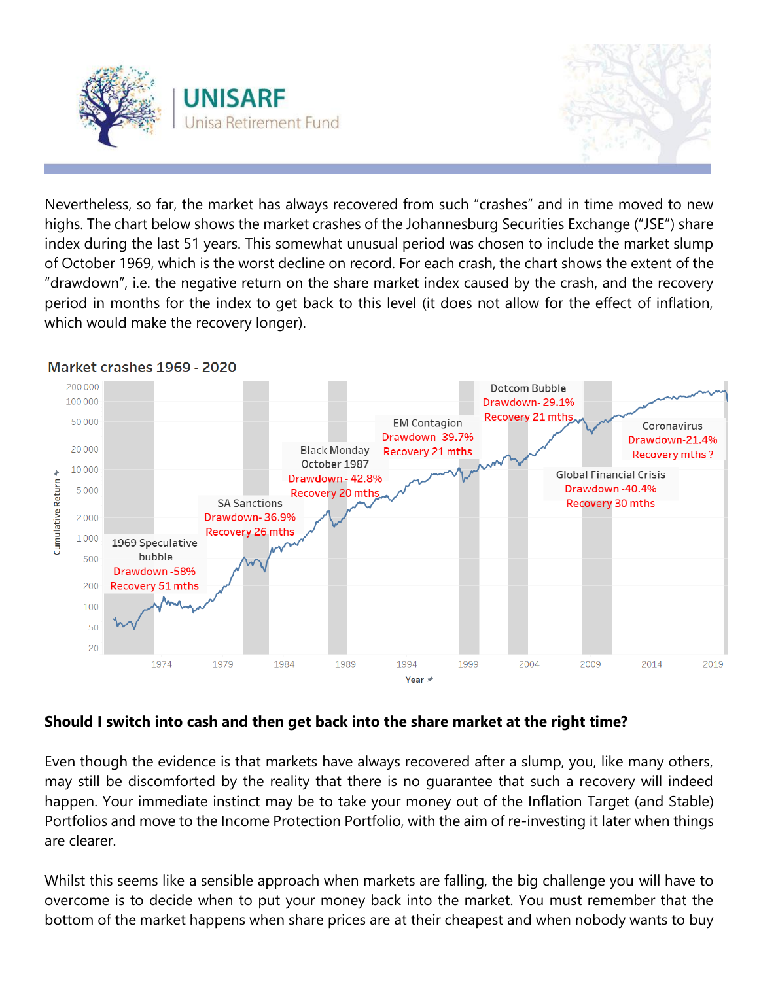



Nevertheless, so far, the market has always recovered from such "crashes" and in time moved to new highs. The chart below shows the market crashes of the Johannesburg Securities Exchange ("JSE") share index during the last 51 years. This somewhat unusual period was chosen to include the market slump of October 1969, which is the worst decline on record. For each crash, the chart shows the extent of the "drawdown", i.e. the negative return on the share market index caused by the crash, and the recovery period in months for the index to get back to this level (it does not allow for the effect of inflation, which would make the recovery longer).



#### Market crashes 1969 - 2020

## **Should I switch into cash and then get back into the share market at the right time?**

Even though the evidence is that markets have always recovered after a slump, you, like many others, may still be discomforted by the reality that there is no guarantee that such a recovery will indeed happen. Your immediate instinct may be to take your money out of the Inflation Target (and Stable) Portfolios and move to the Income Protection Portfolio, with the aim of re-investing it later when things are clearer.

Whilst this seems like a sensible approach when markets are falling, the big challenge you will have to overcome is to decide when to put your money back into the market. You must remember that the bottom of the market happens when share prices are at their cheapest and when nobody wants to buy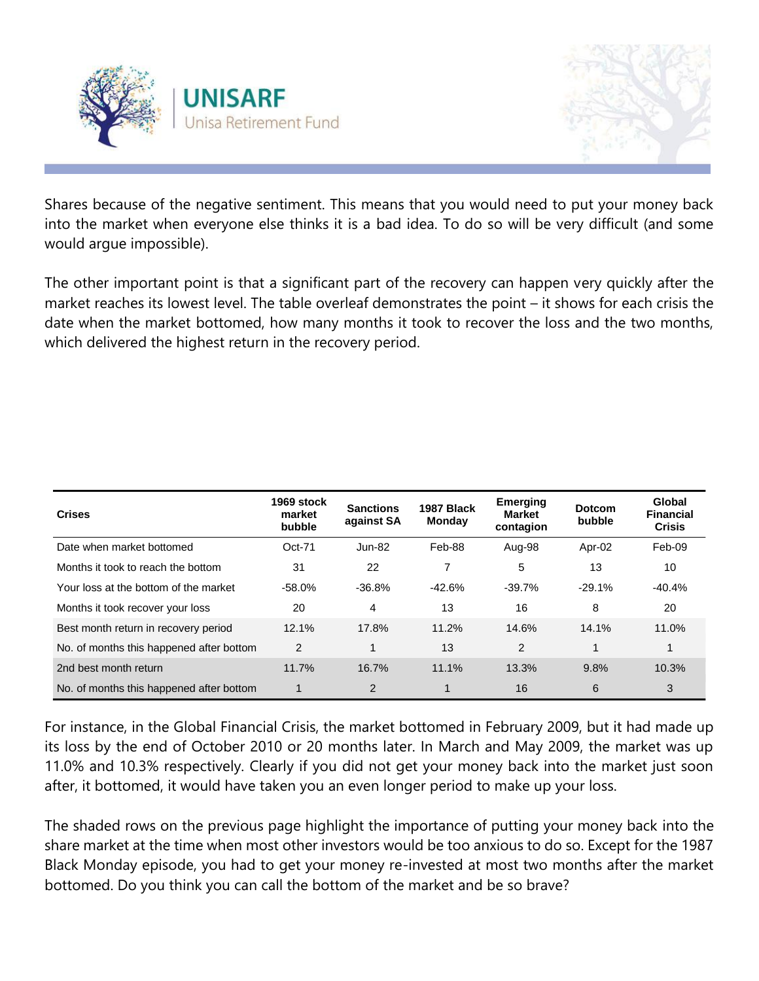



Shares because of the negative sentiment. This means that you would need to put your money back into the market when everyone else thinks it is a bad idea. To do so will be very difficult (and some would argue impossible).

The other important point is that a significant part of the recovery can happen very quickly after the market reaches its lowest level. The table overleaf demonstrates the point – it shows for each crisis the date when the market bottomed, how many months it took to recover the loss and the two months, which delivered the highest return in the recovery period.

| <b>Crises</b>                            | 1969 stock<br>market<br>bubble | <b>Sanctions</b><br>against SA | 1987 Black<br><b>Monday</b> | <b>Emerging</b><br><b>Market</b><br>contagion | <b>Dotcom</b><br>bubble | Global<br><b>Financial</b><br><b>Crisis</b> |
|------------------------------------------|--------------------------------|--------------------------------|-----------------------------|-----------------------------------------------|-------------------------|---------------------------------------------|
| Date when market bottomed                | $Oct-71$                       | <b>Jun-82</b>                  | Feb-88                      | Aug-98                                        | Apr-02                  | Feb-09                                      |
| Months it took to reach the bottom       | 31                             | 22                             | 7                           | 5                                             | 13                      | 10                                          |
| Your loss at the bottom of the market    | $-58.0%$                       | $-36.8%$                       | $-42.6%$                    | $-39.7%$                                      | $-29.1%$                | $-40.4%$                                    |
| Months it took recover your loss         | 20                             | 4                              | 13                          | 16                                            | 8                       | 20                                          |
| Best month return in recovery period     | 12.1%                          | 17.8%                          | 11.2%                       | 14.6%                                         | 14.1%                   | 11.0%                                       |
| No. of months this happened after bottom | 2                              | 1                              | 13                          | 2                                             | 1                       | 1                                           |
| 2nd best month return                    | 11.7%                          | 16.7%                          | 11.1%                       | 13.3%                                         | 9.8%                    | 10.3%                                       |
| No. of months this happened after bottom | 1                              | $\overline{2}$                 |                             | 16                                            | 6                       | 3                                           |

For instance, in the Global Financial Crisis, the market bottomed in February 2009, but it had made up its loss by the end of October 2010 or 20 months later. In March and May 2009, the market was up 11.0% and 10.3% respectively. Clearly if you did not get your money back into the market just soon after, it bottomed, it would have taken you an even longer period to make up your loss.

The shaded rows on the previous page highlight the importance of putting your money back into the share market at the time when most other investors would be too anxious to do so. Except for the 1987 Black Monday episode, you had to get your money re-invested at most two months after the market bottomed. Do you think you can call the bottom of the market and be so brave?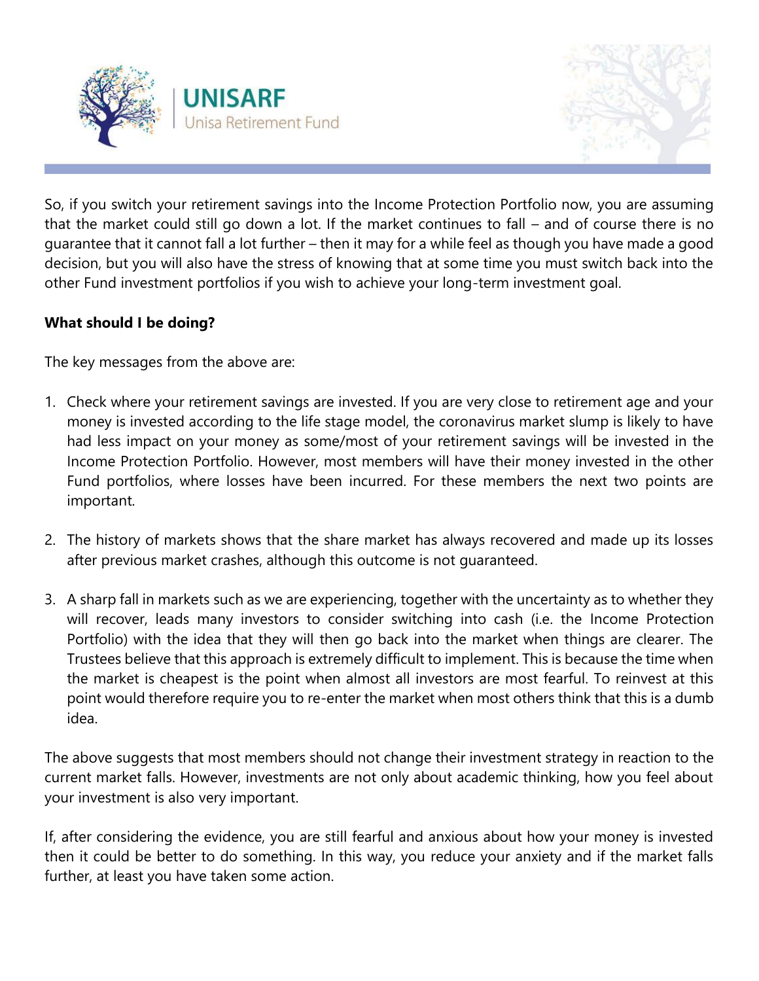



So, if you switch your retirement savings into the Income Protection Portfolio now, you are assuming that the market could still go down a lot. If the market continues to fall – and of course there is no guarantee that it cannot fall a lot further – then it may for a while feel as though you have made a good decision, but you will also have the stress of knowing that at some time you must switch back into the other Fund investment portfolios if you wish to achieve your long-term investment goal.

# **What should I be doing?**

The key messages from the above are:

- 1. Check where your retirement savings are invested. If you are very close to retirement age and your money is invested according to the life stage model, the coronavirus market slump is likely to have had less impact on your money as some/most of your retirement savings will be invested in the Income Protection Portfolio. However, most members will have their money invested in the other Fund portfolios, where losses have been incurred. For these members the next two points are important.
- 2. The history of markets shows that the share market has always recovered and made up its losses after previous market crashes, although this outcome is not guaranteed.
- 3. A sharp fall in markets such as we are experiencing, together with the uncertainty as to whether they will recover, leads many investors to consider switching into cash (i.e. the Income Protection Portfolio) with the idea that they will then go back into the market when things are clearer. The Trustees believe that this approach is extremely difficult to implement. This is because the time when the market is cheapest is the point when almost all investors are most fearful. To reinvest at this point would therefore require you to re-enter the market when most others think that this is a dumb idea.

The above suggests that most members should not change their investment strategy in reaction to the current market falls. However, investments are not only about academic thinking, how you feel about your investment is also very important.

If, after considering the evidence, you are still fearful and anxious about how your money is invested then it could be better to do something. In this way, you reduce your anxiety and if the market falls further, at least you have taken some action.